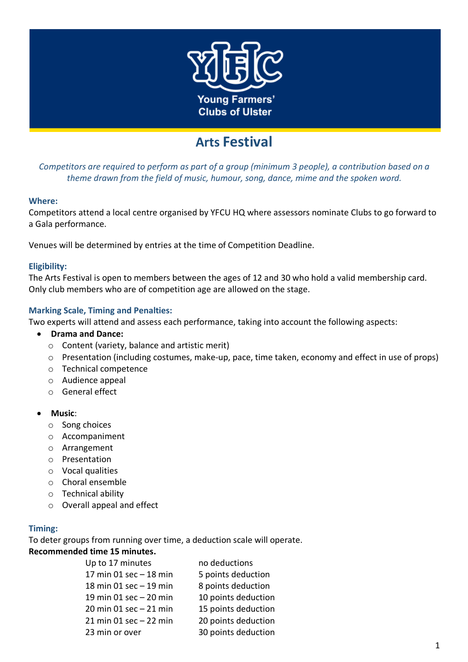

# **Arts Festival**

*Competitors are required to perform as part of a group (minimum 3 people), a contribution based on a theme drawn from the field of music, humour, song, dance, mime and the spoken word.*

#### **Where:**

Competitors attend a local centre organised by YFCU HQ where assessors nominate Clubs to go forward to a Gala performance.

Venues will be determined by entries at the time of Competition Deadline.

#### **Eligibility:**

The Arts Festival is open to members between the ages of 12 and 30 who hold a valid membership card. Only club members who are of competition age are allowed on the stage.

#### **Marking Scale, Timing and Penalties:**

Two experts will attend and assess each performance, taking into account the following aspects:

- **Drama and Dance:** 
	- o Content (variety, balance and artistic merit)
	- $\circ$  Presentation (including costumes, make-up, pace, time taken, economy and effect in use of props)
	- o Technical competence
	- o Audience appeal
	- o General effect
- **Music**:
	- o Song choices
	- o Accompaniment
	- o Arrangement
	- o Presentation
	- o Vocal qualities
	- o Choral ensemble
	- o Technical ability
	- o Overall appeal and effect

#### **Timing:**

To deter groups from running over time, a deduction scale will operate.

#### **Recommended time 15 minutes.**

| Up to 17 minutes          | no deductions       |
|---------------------------|---------------------|
| 17 min $01$ sec $-18$ min | 5 points deduction  |
| 18 min 01 sec - 19 min    | 8 points deduction  |
| 19 min 01 sec - 20 min    | 10 points deduction |
| 20 min 01 sec - 21 min    | 15 points deduction |
| $21$ min 01 sec $-22$ min | 20 points deduction |
| 23 min or over            | 30 points deduction |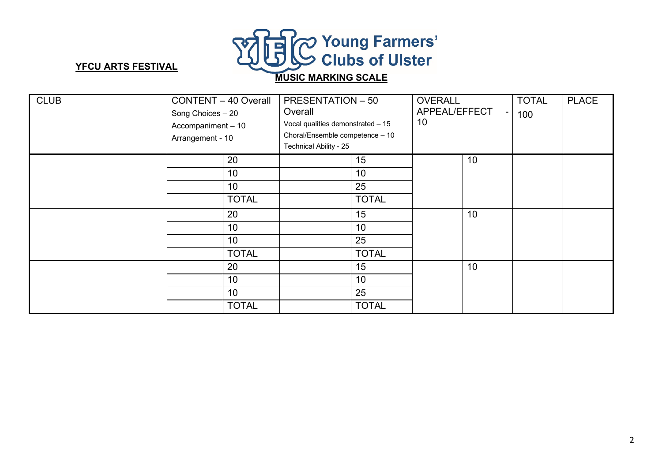

## **YFCU ARTS FESTIVAL**

# **MUSIC MARKING SCALE**

| <b>CLUB</b> | <b>CONTENT - 40 Overall</b><br>Song Choices - 20<br>Accompaniment - 10<br>Arrangement - 10 |              | <b>PRESENTATION - 50</b><br>Overall<br>Vocal qualities demonstrated - 15<br>Choral/Ensemble competence - 10<br>Technical Ability - 25 |              | <b>OVERALL</b><br>APPEAL/EFFECT<br>$\blacksquare$<br>10 |    | <b>TOTAL</b><br>100 | <b>PLACE</b> |
|-------------|--------------------------------------------------------------------------------------------|--------------|---------------------------------------------------------------------------------------------------------------------------------------|--------------|---------------------------------------------------------|----|---------------------|--------------|
|             |                                                                                            | 20           |                                                                                                                                       | 15           |                                                         | 10 |                     |              |
|             |                                                                                            | 10           |                                                                                                                                       | 10           |                                                         |    |                     |              |
|             |                                                                                            | 10           |                                                                                                                                       | 25           |                                                         |    |                     |              |
|             |                                                                                            | <b>TOTAL</b> |                                                                                                                                       | <b>TOTAL</b> |                                                         |    |                     |              |
|             |                                                                                            | 20           |                                                                                                                                       | 15           | 10                                                      |    |                     |              |
|             |                                                                                            | 10           |                                                                                                                                       | 10           |                                                         |    |                     |              |
|             |                                                                                            | 10           |                                                                                                                                       | 25           |                                                         |    |                     |              |
|             |                                                                                            | <b>TOTAL</b> |                                                                                                                                       | <b>TOTAL</b> |                                                         |    |                     |              |
|             |                                                                                            | 20           |                                                                                                                                       | 15           |                                                         | 10 |                     |              |
|             |                                                                                            | 10           |                                                                                                                                       | 10           |                                                         |    |                     |              |
|             |                                                                                            | 10           |                                                                                                                                       | 25           |                                                         |    |                     |              |
|             |                                                                                            | <b>TOTAL</b> |                                                                                                                                       | <b>TOTAL</b> |                                                         |    |                     |              |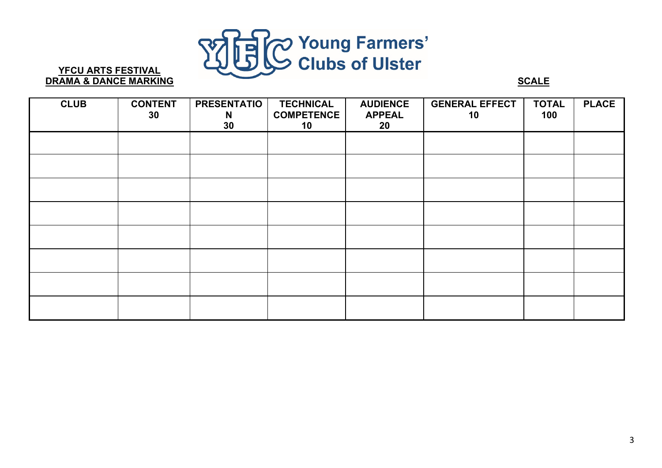

## **YFCU ARTS FESTIVAL DRAMA & DANCE MARKING SCALE**

| <b>CLUB</b> | <b>CONTENT</b><br>30 <sub>o</sub> | <b>PRESENTATIO</b><br>N<br>30 | <b>TECHNICAL</b><br><b>COMPETENCE</b><br>10 | <b>AUDIENCE</b><br><b>APPEAL</b><br>20 | <b>GENERAL EFFECT</b><br>10 | <b>TOTAL</b><br>100 | <b>PLACE</b> |
|-------------|-----------------------------------|-------------------------------|---------------------------------------------|----------------------------------------|-----------------------------|---------------------|--------------|
|             |                                   |                               |                                             |                                        |                             |                     |              |
|             |                                   |                               |                                             |                                        |                             |                     |              |
|             |                                   |                               |                                             |                                        |                             |                     |              |
|             |                                   |                               |                                             |                                        |                             |                     |              |
|             |                                   |                               |                                             |                                        |                             |                     |              |
|             |                                   |                               |                                             |                                        |                             |                     |              |
|             |                                   |                               |                                             |                                        |                             |                     |              |
|             |                                   |                               |                                             |                                        |                             |                     |              |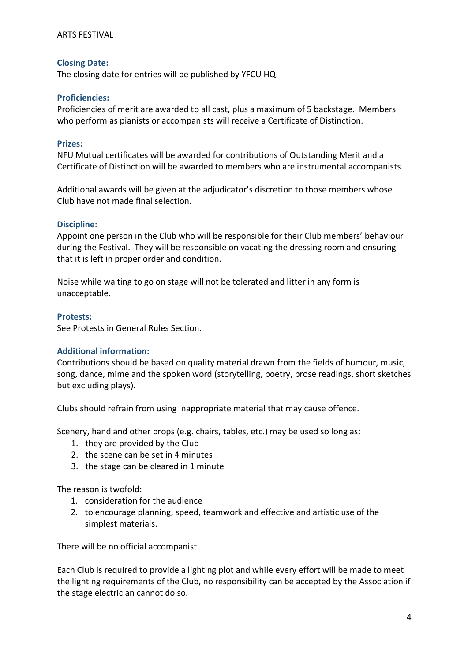#### ARTS FESTIVAL

#### **Closing Date:**

The closing date for entries will be published by YFCU HQ.

#### **Proficiencies:**

Proficiencies of merit are awarded to all cast, plus a maximum of 5 backstage. Members who perform as pianists or accompanists will receive a Certificate of Distinction.

#### **Prizes:**

NFU Mutual certificates will be awarded for contributions of Outstanding Merit and a Certificate of Distinction will be awarded to members who are instrumental accompanists.

Additional awards will be given at the adjudicator's discretion to those members whose Club have not made final selection.

#### **Discipline:**

Appoint one person in the Club who will be responsible for their Club members' behaviour during the Festival. They will be responsible on vacating the dressing room and ensuring that it is left in proper order and condition.

Noise while waiting to go on stage will not be tolerated and litter in any form is unacceptable.

#### **Protests:**

See Protests in General Rules Section.

#### **Additional information:**

Contributions should be based on quality material drawn from the fields of humour, music, song, dance, mime and the spoken word (storytelling, poetry, prose readings, short sketches but excluding plays).

Clubs should refrain from using inappropriate material that may cause offence.

Scenery, hand and other props (e.g. chairs, tables, etc.) may be used so long as:

- 1. they are provided by the Club
- 2. the scene can be set in 4 minutes
- 3. the stage can be cleared in 1 minute

The reason is twofold:

- 1. consideration for the audience
- 2. to encourage planning, speed, teamwork and effective and artistic use of the simplest materials.

There will be no official accompanist.

Each Club is required to provide a lighting plot and while every effort will be made to meet the lighting requirements of the Club, no responsibility can be accepted by the Association if the stage electrician cannot do so.